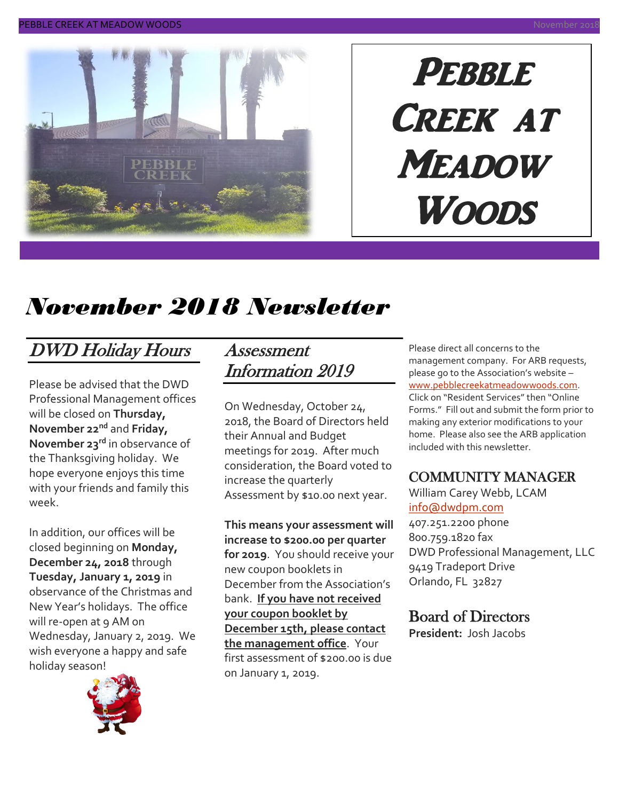

# **PEBBLE** Creek at **MEADOW** Woods

## *November 2018 Newsletter*

## DWD Holiday Hours

Please be advised that the DWD Professional Management offices will be closed on **Thursday, November 22nd** and **Friday, November 23rd** in observance of the Thanksgiving holiday. We hope everyone enjoys this time with your friends and family this week.

In addition, our offices will be closed beginning on **Monday, December 24, 2018** through **Tuesday, January 1, 2019** in observance of the Christmas and New Year's holidays. The office will re-open at 9 AM on Wednesday, January 2, 2019. We wish everyone a happy and safe holiday season!



#### Assessment Information 2019

On Wednesday, October 24, 2018, the Board of Directors held their Annual and Budget meetings for 2019. After much consideration, the Board voted to increase the quarterly Assessment by \$10.00 next year.

**This means your assessment will increase to \$200.00 per quarter for 2019**. You should receive your new coupon booklets in December from the Association's bank. **If you have not received your coupon booklet by December 15th, please contact the management office**. Your first assessment of \$200.00 is due on January 1, 2019.

Please direct all concerns to the management company. For ARB requests, please go to the Association's website – [www.pebblecreekatmeadowwoods.com.](http://www.pebblecreekatmeadowwoods.com/) Click on "Resident Services" then "Online Forms." Fill out and submit the form prior to making any exterior modifications to your home. Please also see the ARB application included with this newsletter.

#### COMMUNITY MANAGER

William Carey Webb, LCAM [info@dwdpm.com](mailto:info@dwdpm.com)  407.251.2200 phone

800.759.1820 fax DWD Professional Management, LLC 9419 Tradeport Drive Orlando, FL 32827

#### Board of Directors

**President:** Josh Jacobs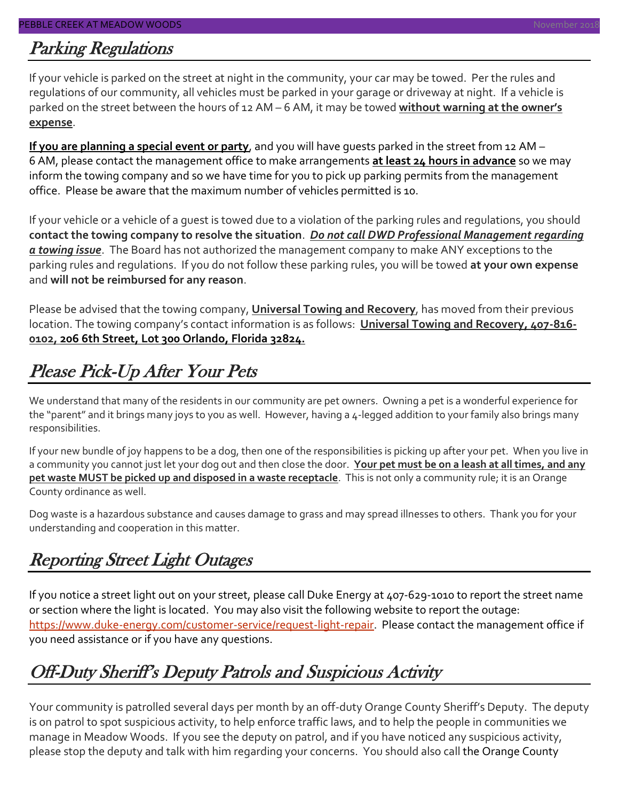#### Parking Regulations

If your vehicle is parked on the street at night in the community, your car may be towed. Per the rules and regulations of our community, all vehicles must be parked in your garage or driveway at night. If a vehicle is parked on the street between the hours of 12 AM – 6 AM, it may be towed **without warning at the owner's expense**.

**If you are planning a special event or party**, and you will have guests parked in the street from 12 AM – 6 AM, please contact the management office to make arrangements **at least 24 hours in advance** so we may inform the towing company and so we have time for you to pick up parking permits from the management office. Please be aware that the maximum number of vehicles permitted is 10.

If your vehicle or a vehicle of a guest is towed due to a violation of the parking rules and regulations, you should **contact the towing company to resolve the situation**. *Do not call DWD Professional Management regarding a towing issue*. The Board has not authorized the management company to make ANY exceptions to the parking rules and regulations. If you do not follow these parking rules, you will be towed **at your own expense** and **will not be reimbursed for any reason**.

Please be advised that the towing company, **Universal Towing and Recovery**, has moved from their previous location. The towing company's contact information is as follows: **Universal Towing and Recovery, 407-816- 0102, 206 6th Street, Lot 300 Orlando, Florida 32824.**

## Please Pick-Up After Your Pets

We understand that many of the residents in our community are pet owners. Owning a pet is a wonderful experience for the "parent" and it brings many joys to you as well. However, having a 4-legged addition to your family also brings many responsibilities.

If your new bundle of joy happens to be a dog, then one of the responsibilities is picking up after your pet. When you live in a community you cannot just let your dog out and then close the door. **Your pet must be on a leash at all times, and any pet waste MUST be picked up and disposed in a waste receptacle**. This is not only a community rule; it is an Orange County ordinance as well.

Dog waste is a hazardous substance and causes damage to grass and may spread illnesses to others. Thank you for your understanding and cooperation in this matter.

### Reporting Street Light Outages

If you notice a street light out on your street, please call Duke Energy at 407-629-1010 to report the street name or section where the light is located. You may also visit the following website to report the outage: [https://www.duke-energy.com/customer-service/request-light-repair.](https://www.duke-energy.com/customer-service/request-light-repair) Please contact the management office if you need assistance or if you have any questions.

## Off-Duty Sheriff's Deputy Patrols and Suspicious Activity

Your community is patrolled several days per month by an off-duty Orange County Sheriff's Deputy. The deputy is on patrol to spot suspicious activity, to help enforce traffic laws, and to help the people in communities we manage in Meadow Woods. If you see the deputy on patrol, and if you have noticed any suspicious activity, please stop the deputy and talk with him regarding your concerns. You should also call the Orange County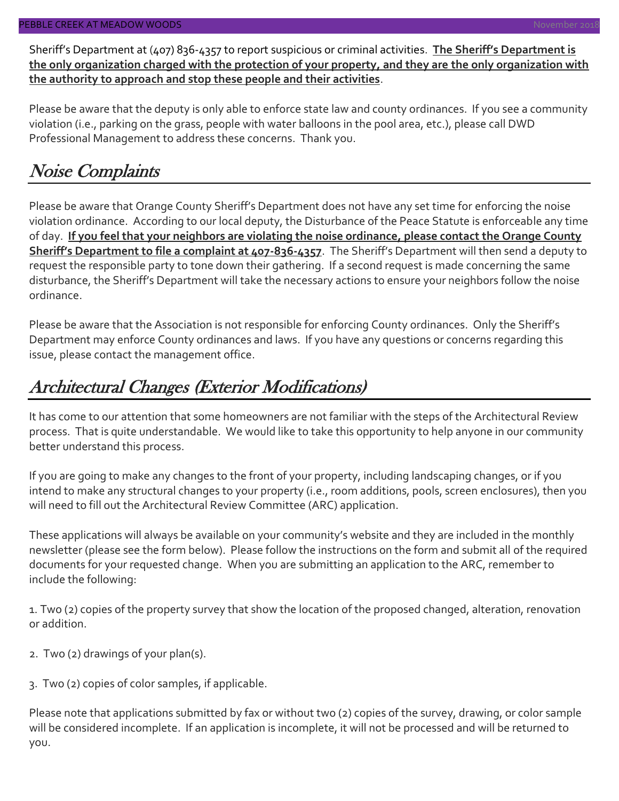Sheriff's Department at (407) 836-4357 to report suspicious or criminal activities. **The Sheriff's Department is the only organization charged with the protection of your property, and they are the only organization with the authority to approach and stop these people and their activities**.

Please be aware that the deputy is only able to enforce state law and county ordinances. If you see a community violation (i.e., parking on the grass, people with water balloons in the pool area, etc.), please call DWD Professional Management to address these concerns. Thank you.

## Noise Complaints

Please be aware that Orange County Sheriff's Department does not have any set time for enforcing the noise violation ordinance. According to our local deputy, the Disturbance of the Peace Statute is enforceable any time of day. **If you feel that your neighbors are violating the noise ordinance, please contact the Orange County Sheriff's Department to file a complaint at 407-836-4357**. The Sheriff's Department will then send a deputy to request the responsible party to tone down their gathering. If a second request is made concerning the same disturbance, the Sheriff's Department will take the necessary actions to ensure your neighbors follow the noise ordinance.

Please be aware that the Association is not responsible for enforcing County ordinances. Only the Sheriff's Department may enforce County ordinances and laws. If you have any questions or concerns regarding this issue, please contact the management office.

## Architectural Changes (Exterior Modifications)

It has come to our attention that some homeowners are not familiar with the steps of the Architectural Review process. That is quite understandable. We would like to take this opportunity to help anyone in our community better understand this process.

If you are going to make any changes to the front of your property, including landscaping changes, or if you intend to make any structural changes to your property (i.e., room additions, pools, screen enclosures), then you will need to fill out the Architectural Review Committee (ARC) application.

These applications will always be available on your community's website and they are included in the monthly newsletter (please see the form below). Please follow the instructions on the form and submit all of the required documents for your requested change. When you are submitting an application to the ARC, remember to include the following:

1. Two (2) copies of the property survey that show the location of the proposed changed, alteration, renovation or addition.

- 2. Two (2) drawings of your plan(s).
- 3. Two (2) copies of color samples, if applicable.

Please note that applications submitted by fax or without two (2) copies of the survey, drawing, or color sample will be considered incomplete. If an application is incomplete, it will not be processed and will be returned to you.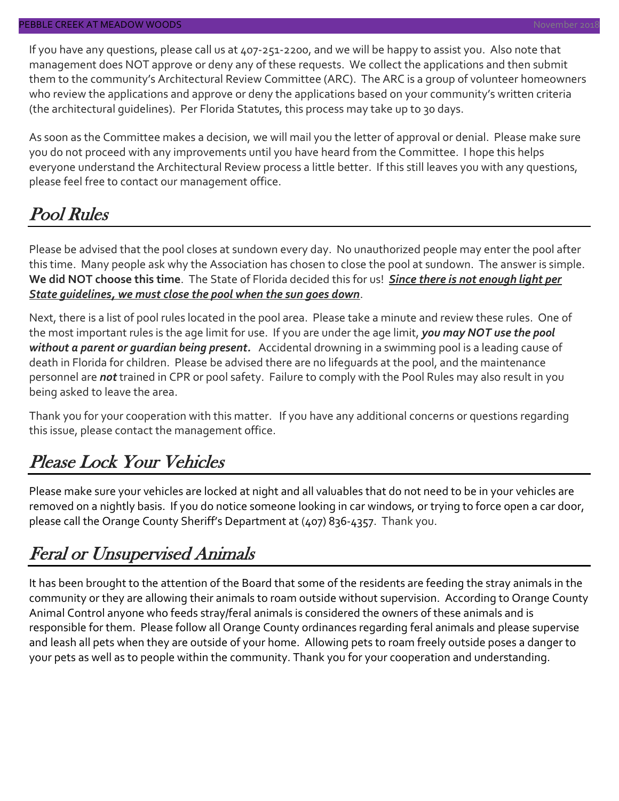If you have any questions, please call us at 407-251-2200, and we will be happy to assist you. Also note that management does NOT approve or deny any of these requests. We collect the applications and then submit them to the community's Architectural Review Committee (ARC). The ARC is a group of volunteer homeowners who review the applications and approve or deny the applications based on your community's written criteria (the architectural guidelines). Per Florida Statutes, this process may take up to 30 days.

As soon as the Committee makes a decision, we will mail you the letter of approval or denial. Please make sure you do not proceed with any improvements until you have heard from the Committee. I hope this helps everyone understand the Architectural Review process a little better. If this still leaves you with any questions, please feel free to contact our management office.

## Pool Rules

Please be advised that the pool closes at sundown every day. No unauthorized people may enter the pool after this time. Many people ask why the Association has chosen to close the pool at sundown. The answer is simple. **We did NOT choose this time**. The State of Florida decided this for us! *Since there is not enough light per State guidelines, we must close the pool when the sun goes down*.

Next, there is a list of pool rules located in the pool area. Please take a minute and review these rules. One of the most important rules is the age limit for use. If you are under the age limit, *you may NOT use the pool without a parent or guardian being present.* Accidental drowning in a swimming pool is a leading cause of death in Florida for children. Please be advised there are no lifeguards at the pool, and the maintenance personnel are *not* trained in CPR or pool safety. Failure to comply with the Pool Rules may also result in you being asked to leave the area.

Thank you for your cooperation with this matter. If you have any additional concerns or questions regarding this issue, please contact the management office.

### Please Lock Your Vehicles

Please make sure your vehicles are locked at night and all valuables that do not need to be in your vehicles are removed on a nightly basis. If you do notice someone looking in car windows, or trying to force open a car door, please call the Orange County Sheriff's Department at (407) 836-4357. Thank you.

### Feral or Unsupervised Animals

It has been brought to the attention of the Board that some of the residents are feeding the stray animals in the community or they are allowing their animals to roam outside without supervision. According to Orange County Animal Control anyone who feeds stray/feral animals is considered the owners of these animals and is responsible for them. Please follow all Orange County ordinances regarding feral animals and please supervise and leash all pets when they are outside of your home. Allowing pets to roam freely outside poses a danger to your pets as well as to people within the community. Thank you for your cooperation and understanding.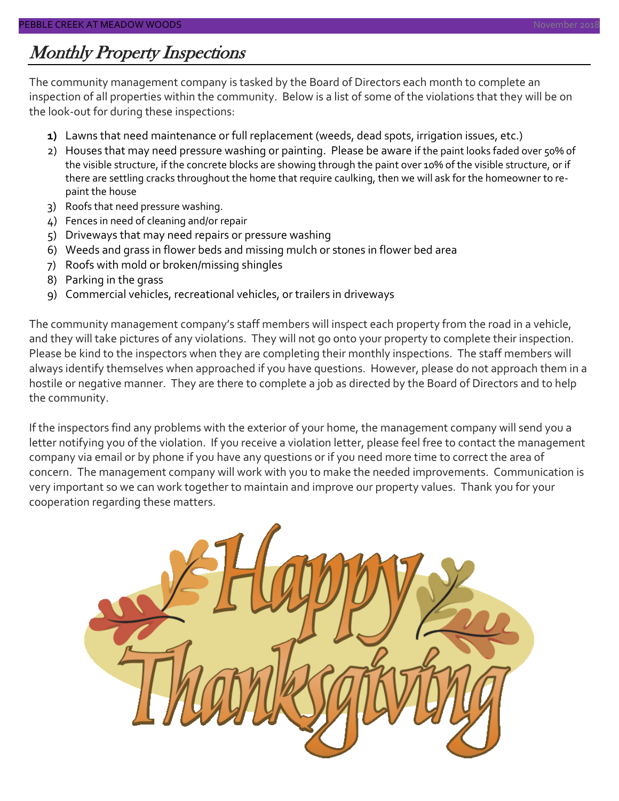#### Monthly Property Inspections

The community management company is tasked by the Board of Directors each month to complete an inspection of all properties within the community. Below is a list of some of the violations that they will be on the look-out for during these inspections:

- **1)** Lawns that need maintenance or full replacement (weeds, dead spots, irrigation issues, etc.)
- 2) Houses that may need pressure washing or painting. Please be aware if the paint looks faded over 50% of the visible structure, if the concrete blocks are showing through the paint over 10% of the visible structure, or if there are settling cracks throughout the home that require caulking, then we will ask for the homeowner to repaint the house
- 3) Roofs that need pressure washing.
- 4) Fences in need of cleaning and/or repair
- 5) Driveways that may need repairs or pressure washing
- 6) Weeds and grass in flower beds and missing mulch or stones in flower bed area
- 7) Roofs with mold or broken/missing shingles
- 8) Parking in the grass
- 9) Commercial vehicles, recreational vehicles, or trailers in driveways

The community management company's staff members will inspect each property from the road in a vehicle, and they will take pictures of any violations. They will not go onto your property to complete their inspection. Please be kind to the inspectors when they are completing their monthly inspections. The staff members will always identify themselves when approached if you have questions. However, please do not approach them in a hostile or negative manner. They are there to complete a job as directed by the Board of Directors and to help the community.

If the inspectors find any problems with the exterior of your home, the management company will send you a letter notifying you of the violation. If you receive a violation letter, please feel free to contact the management company via email or by phone if you have any questions or if you need more time to correct the area of concern. The management company will work with you to make the needed improvements. Communication is very important so we can work together to maintain and improve our property values. Thank you for your cooperation regarding these matters.

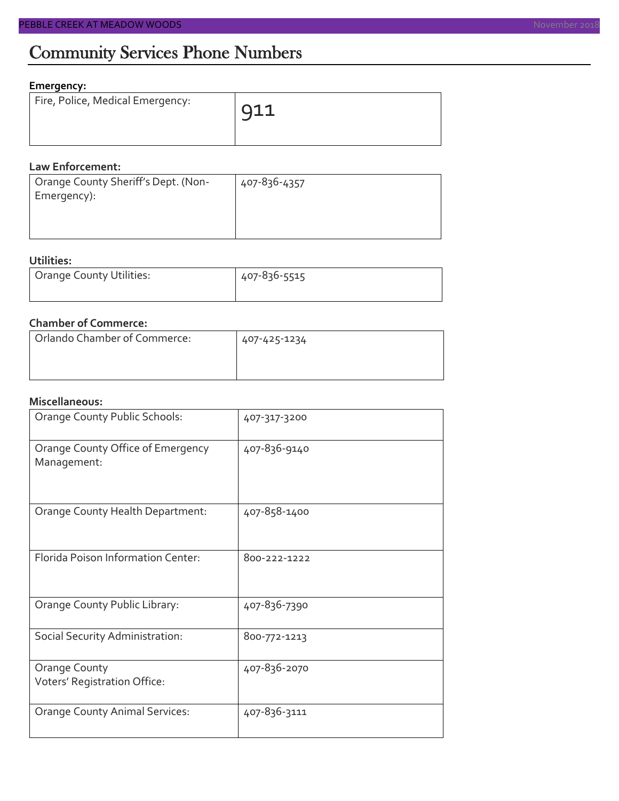#### **Emergency:**

| Fire, Police, Medical Emergency: | 911 |
|----------------------------------|-----|
|                                  |     |

#### **Law Enforcement:**

| Orange County Sheriff's Dept. (Non- | 407-836-4357 |
|-------------------------------------|--------------|
| Emergency):                         |              |
|                                     |              |
|                                     |              |

#### **Utilities:**

| Orange County Utilities: | 407-836-5515 |  |  |
|--------------------------|--------------|--|--|
|                          |              |  |  |

#### **Chamber of Commerce:**

| Orlando Chamber of Commerce: | 407-425-1234 |  |  |
|------------------------------|--------------|--|--|
|                              |              |  |  |
|                              |              |  |  |

#### **Miscellaneous:**

| Orange County Public Schools:                        | 407-317-3200 |
|------------------------------------------------------|--------------|
| Orange County Office of Emergency<br>Management:     | 407-836-9140 |
| Orange County Health Department:                     | 407-858-1400 |
| Florida Poison Information Center:                   | 800-222-1222 |
| Orange County Public Library:                        | 407-836-7390 |
| Social Security Administration:                      | 800-772-1213 |
| <b>Orange County</b><br>Voters' Registration Office: | 407-836-2070 |
| <b>Orange County Animal Services:</b>                | 407-836-3111 |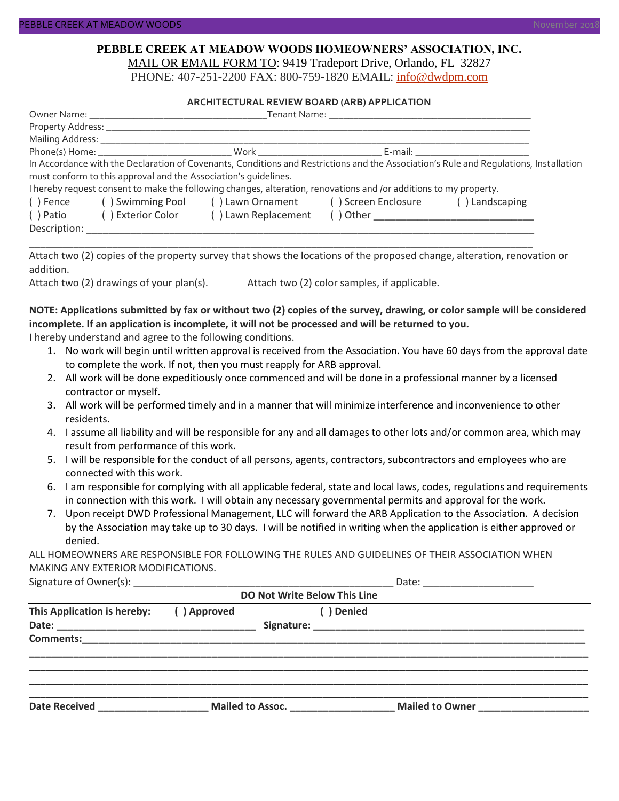#### **PEBBLE CREEK AT MEADOW WOODS HOMEOWNERS' ASSOCIATION, INC.** MAIL OR EMAIL FORM TO: 9419 Tradeport Drive, Orlando, FL 32827

PHONE: 407-251-2200 FAX: 800-759-1820 EMAIL: [info@dwdpm.com](mailto:info@dwdpm.com)

#### **ARCHITECTURAL REVIEW BOARD (ARB) APPLICATION**

|              | Tenant Name: The contract of the contract of the contract of the contract of the contract of the contract of the contract of the contract of the contract of the contract of the contract of the contract of the contract of t |                                                                                                                   |  |                                                                                                                                                                                                                                |  |
|--------------|--------------------------------------------------------------------------------------------------------------------------------------------------------------------------------------------------------------------------------|-------------------------------------------------------------------------------------------------------------------|--|--------------------------------------------------------------------------------------------------------------------------------------------------------------------------------------------------------------------------------|--|
|              |                                                                                                                                                                                                                                |                                                                                                                   |  |                                                                                                                                                                                                                                |  |
|              | Mailing Address: _____________                                                                                                                                                                                                 |                                                                                                                   |  |                                                                                                                                                                                                                                |  |
|              |                                                                                                                                                                                                                                |                                                                                                                   |  | E-mail: E-mail: E-mail: E-mail: E-mail: E-mail: E-mail: E-mail: E-mail: E-mail: E-mail: E-mail: E-mail: E-mail: E-mail: E-mail: E-mail: E-mail: E-mail: E-mail: E-mail: E-mail: E-mail: E-mail: E-mail: E-mail: E-mail: E-mail |  |
|              |                                                                                                                                                                                                                                |                                                                                                                   |  | In Accordance with the Declaration of Covenants, Conditions and Restrictions and the Association's Rule and Requlations, Installation                                                                                          |  |
|              | must conform to this approval and the Association's quidelines.                                                                                                                                                                |                                                                                                                   |  |                                                                                                                                                                                                                                |  |
|              |                                                                                                                                                                                                                                | I hereby request consent to make the following changes, alteration, renovations and /or additions to my property. |  |                                                                                                                                                                                                                                |  |
| ( ) Fence    |                                                                                                                                                                                                                                | () Swimming Pool () Lawn Ornament () Screen Enclosure                                                             |  | () Landscaping                                                                                                                                                                                                                 |  |
| () Patio     | ( ) Exterior Color                                                                                                                                                                                                             | () Lawn Replacement                                                                                               |  |                                                                                                                                                                                                                                |  |
| Description: |                                                                                                                                                                                                                                |                                                                                                                   |  |                                                                                                                                                                                                                                |  |

Attach two (2) copies of the property survey that shows the locations of the proposed change, alteration, renovation or addition.

\_\_\_\_\_\_\_\_\_\_\_\_\_\_\_\_\_\_\_\_\_\_\_\_\_\_\_\_\_\_\_\_\_\_\_\_\_\_\_\_\_\_\_\_\_\_\_\_\_\_\_\_\_\_\_\_\_\_\_\_\_\_\_\_\_\_\_\_\_\_\_\_\_\_\_\_\_\_\_\_\_\_\_\_\_\_\_\_\_\_\_

Attach two (2) drawings of your plan(s). Attach two (2) color samples, if applicable.

#### **NOTE: Applications submitted by fax or without two (2) copies of the survey, drawing, or color sample will be considered incomplete. If an application is incomplete, it will not be processed and will be returned to you.**

I hereby understand and agree to the following conditions.

- 1. No work will begin until written approval is received from the Association. You have 60 days from the approval date to complete the work. If not, then you must reapply for ARB approval.
- 2. All work will be done expeditiously once commenced and will be done in a professional manner by a licensed contractor or myself.
- 3. All work will be performed timely and in a manner that will minimize interference and inconvenience to other residents.
- 4. I assume all liability and will be responsible for any and all damages to other lots and/or common area, which may result from performance of this work.
- 5. I will be responsible for the conduct of all persons, agents, contractors, subcontractors and employees who are connected with this work.
- 6. I am responsible for complying with all applicable federal, state and local laws, codes, regulations and requirements in connection with this work. I will obtain any necessary governmental permits and approval for the work.
- 7. Upon receipt DWD Professional Management, LLC will forward the ARB Application to the Association. A decision by the Association may take up to 30 days. I will be notified in writing when the application is either approved or denied.

ALL HOMEOWNERS ARE RESPONSIBLE FOR FOLLOWING THE RULES AND GUIDELINES OF THEIR ASSOCIATION WHEN MAKING ANY EXTERIOR MODIFICATIONS.

Signature of Owner(s):  $\Box$ 

| <b>DO Not Write Below This Line</b> |             |                  |                 |  |  |
|-------------------------------------|-------------|------------------|-----------------|--|--|
| This Application is hereby:         | () Approved | Denied           |                 |  |  |
| <b>Comments:</b>                    |             |                  |                 |  |  |
| <b>Date Received</b>                |             | Mailed to Assoc. | Mailed to Owner |  |  |